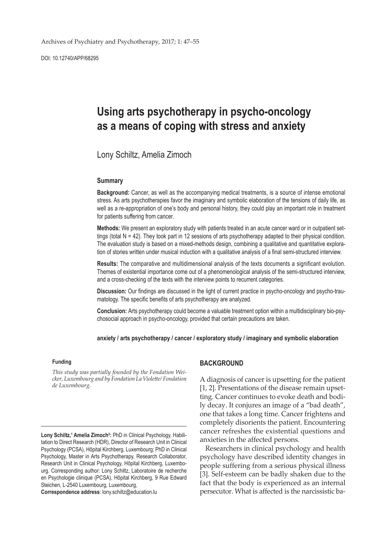DOI: 10.12740/APP/68295

# **Using arts psychotherapy in psycho-oncology as a means of coping with stress and anxiety**

Lony Schiltz, Amelia Zimoch

#### **Summary**

**Background:** Cancer, as well as the accompanying medical treatments, is a source of intense emotional stress. As arts psychotherapies favor the imaginary and symbolic elaboration of the tensions of daily life, as well as a re-appropriation of one's body and personal history, they could play an important role in treatment for patients suffering from cancer.

**Methods:** We present an exploratory study with patients treated in an acute cancer ward or in outpatient settings (total  $N = 42$ ). They took part in 12 sessions of arts psychotherapy adapted to their physical condition. The evaluation study is based on a mixed-methods design, combining a qualitative and quantitative exploration of stories written under musical induction with a qualitative analysis of a final semi-structured interview.

**Results:** The comparative and multidimensional analysis of the texts documents a significant evolution. Themes of existential importance come out of a phenomenological analysis of the semi-structured interview, and a cross-checking of the texts with the interview points to recurrent categories.

**Discussion:** Our findings are discussed in the light of current practice in psycho-oncology and psycho-traumatology. The specific benefits of arts psychotherapy are analyzed.

**Conclusion:** Arts psychotherapy could become a valuable treatment option within a multidisciplinary bio-psychosocial approach in psycho-oncology, provided that certain precautions are taken.

**anxiety / arts psychotherapy / cancer / exploratory study / imaginary and symbolic elaboration**

#### **Funding**

*This study was partially founded by the Fondation Weicker, Luxembourg and by Fondation La Violette/ Fondation de Luxembourg.*

**Correspondence address**: lony.schiltz@education.lu

#### **BACKGROUND**

A diagnosis of cancer is upsetting for the patient [1, 2]. Presentations of the disease remain upsetting. Cancer continues to evoke death and bodily decay. It conjures an image of a "bad death", one that takes a long time. Cancer frightens and completely disorients the patient. Encountering cancer refreshes the existential questions and anxieties in the affected persons.

Researchers in clinical psychology and health psychology have described identity changes in people suffering from a serious physical illness [3]. Self-esteem can be badly shaken due to the fact that the body is experienced as an internal persecutor. What is affected is the narcissistic ba-

Lony Schiltz,<sup>1</sup> Amelia Zimoch<sup>2</sup>: PhD in Clinical Psychology, Habilitation to Direct Research (HDR), Director of Research Unit in Clinical Psychology (PCSA), Hôpital Kirchberg, Luxembourg; PhD in Clinical Psychology, Master in Arts Psychotherapy, Research Collaborator, Research Unit in Clinical Psychology, Hôpital Kirchberg, Luxembourg. Corresponding author: Lony Schiltz, Laboratoire de recherche en Psychologie clinique (PCSA), Hôpital Kirchberg, 9 Rue Edward Steichen, L-2540 Luxembourg, Luxembourg,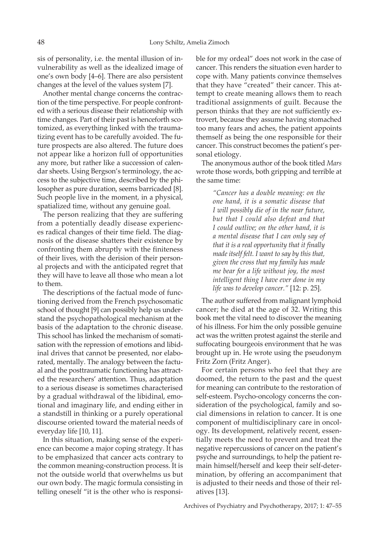sis of personality, i.e. the mental illusion of invulnerability as well as the idealized image of one's own body [4–6]. There are also persistent changes at the level of the values system [7].

Another mental change concerns the contraction of the time perspective. For people confronted with a serious disease their relationship with time changes. Part of their past is henceforth scotomized, as everything linked with the traumatizing event has to be carefully avoided. The future prospects are also altered. The future does not appear like a horizon full of opportunities any more, but rather like a succession of calendar sheets. Using Bergson's terminology, the access to the subjective time, described by the philosopher as pure duration, seems barricaded [8]. Such people live in the moment, in a physical, spatialized time, without any genuine goal.

The person realizing that they are suffering from a potentially deadly disease experiences radical changes of their time field. The diagnosis of the disease shatters their existence by confronting them abruptly with the finiteness of their lives, with the derision of their personal projects and with the anticipated regret that they will have to leave all those who mean a lot to them.

The descriptions of the factual mode of functioning derived from the French psychosomatic school of thought [9] can possibly help us understand the psychopathological mechanism at the basis of the adaptation to the chronic disease. This school has linked the mechanism of somatisation with the repression of emotions and libidinal drives that cannot be presented, nor elaborated, mentally. The analogy between the factual and the posttraumatic functioning has attracted the researchers' attention. Thus, adaptation to a serious disease is sometimes characterised by a gradual withdrawal of the libidinal, emotional and imaginary life, and ending either in a standstill in thinking or a purely operational discourse oriented toward the material needs of everyday life [10, 11].

In this situation, making sense of the experience can become a major coping strategy. It has to be emphasized that cancer acts contrary to the common meaning-construction process. It is not the outside world that overwhelms us but our own body. The magic formula consisting in telling oneself "it is the other who is responsible for my ordeal" does not work in the case of cancer. This renders the situation even harder to cope with. Many patients convince themselves that they have "created" their cancer. This attempt to create meaning allows them to reach traditional assignments of guilt. Because the person thinks that they are not sufficiently extrovert, because they assume having stomached too many fears and aches, the patient appoints themself as being the one responsible for their cancer. This construct becomes the patient's personal etiology.

The anonymous author of the book titled *Mars* wrote those words, both gripping and terrible at the same time:

> *"Cancer has a double meaning: on the one hand, it is a somatic disease that I will possibly die of in the near future, but that I could also defeat and that I could outlive; on the other hand, it is a mental disease that I can only say of that it is a real opportunity that it finally made itself felt. I want to say by this that, given the cross that my family has made me bear for a life without joy, the most intelligent thing I have ever done in my life was to develop cancer."* [12: p. 25].

The author suffered from malignant lymphoid cancer; he died at the age of 32. Writing this book met the vital need to discover the meaning of his illness. For him the only possible genuine act was the written protest against the sterile and suffocating bourgeois environment that he was brought up in. He wrote using the pseudonym Fritz Zorn (Fritz Anger).

For certain persons who feel that they are doomed, the return to the past and the quest for meaning can contribute to the restoration of self-esteem. Psycho-oncology concerns the consideration of the psychological, family and social dimensions in relation to cancer. It is one component of multidisciplinary care in oncology. Its development, relatively recent, essentially meets the need to prevent and treat the negative repercussions of cancer on the patient's psyche and surroundings, to help the patient remain himself/herself and keep their self-determination, by offering an accompaniment that is adjusted to their needs and those of their relatives [13].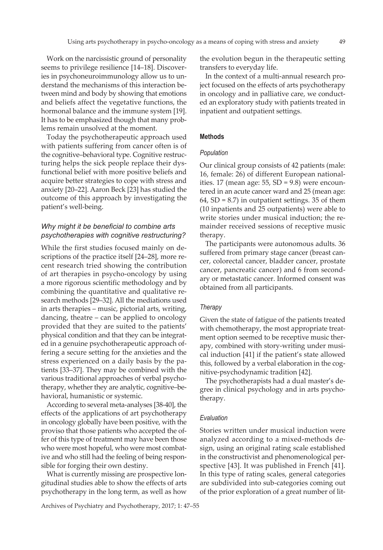Work on the narcissistic ground of personality seems to privilege resilience [14–18]. Discoveries in psychoneuroimmunology allow us to understand the mechanisms of this interaction between mind and body by showing that emotions and beliefs affect the vegetative functions, the hormonal balance and the immune system [19]. It has to be emphasized though that many problems remain unsolved at the moment.

Today the psychotherapeutic approach used with patients suffering from cancer often is of the cognitive–behavioral type. Cognitive restructuring helps the sick people replace their dysfunctional belief with more positive beliefs and acquire better strategies to cope with stress and anxiety [20–22]. Aaron Beck [23] has studied the outcome of this approach by investigating the patient's well-being.

## *Why might it be beneficial to combine arts psychotherapies with cognitive restructuring?*

While the first studies focused mainly on descriptions of the practice itself [24–28], more recent research tried showing the contribution of art therapies in psycho-oncology by using a more rigorous scientific methodology and by combining the quantitative and qualitative research methods [29–32]. All the mediations used in arts therapies – music, pictorial arts, writing, dancing, theatre – can be applied to oncology provided that they are suited to the patients' physical condition and that they can be integrated in a genuine psychotherapeutic approach offering a secure setting for the anxieties and the stress experienced on a daily basis by the patients [33–37]. They may be combined with the various traditional approaches of verbal psychotherapy, whether they are analytic, cognitive–behavioral, humanistic or systemic.

According to several meta-analyses [38-40], the effects of the applications of art psychotherapy in oncology globally have been positive, with the proviso that those patients who accepted the offer of this type of treatment may have been those who were most hopeful, who were most combative and who still had the feeling of being responsible for forging their own destiny.

What is currently missing are prospective longitudinal studies able to show the effects of arts psychotherapy in the long term, as well as how

Archives of Psychiatry and Psychotherapy, 2017; 1: 47–55

the evolution begun in the therapeutic setting transfers to everyday life.

In the context of a multi-annual research project focused on the effects of arts psychotherapy in oncology and in palliative care, we conducted an exploratory study with patients treated in inpatient and outpatient settings.

## **Methods**

## *Population*

Our clinical group consists of 42 patients (male: 16, female: 26) of different European nationalities. 17 (mean age:  $55$ , SD =  $9.8$ ) were encountered in an acute cancer ward and 25 (mean age: 64,  $SD = 8.7$ ) in outpatient settings. 35 of them (10 inpatients and 25 outpatients) were able to write stories under musical induction; the remainder received sessions of receptive music therapy.

The participants were autonomous adults. 36 suffered from primary stage cancer (breast cancer, colorectal cancer, bladder cancer, prostate cancer, pancreatic cancer) and 6 from secondary or metastatic cancer. Informed consent was obtained from all participants.

## *Therapy*

Given the state of fatigue of the patients treated with chemotherapy, the most appropriate treatment option seemed to be receptive music therapy, combined with story-writing under musical induction [41] if the patient's state allowed this, followed by a verbal elaboration in the cognitive-psychodynamic tradition [42].

The psychotherapists had a dual master's degree in clinical psychology and in arts psychotherapy.

## *Evaluation*

Stories written under musical induction were analyzed according to a mixed-methods design, using an original rating scale established in the constructivist and phenomenological perspective [43]. It was published in French [41]. In this type of rating scales, general categories are subdivided into sub-categories coming out of the prior exploration of a great number of lit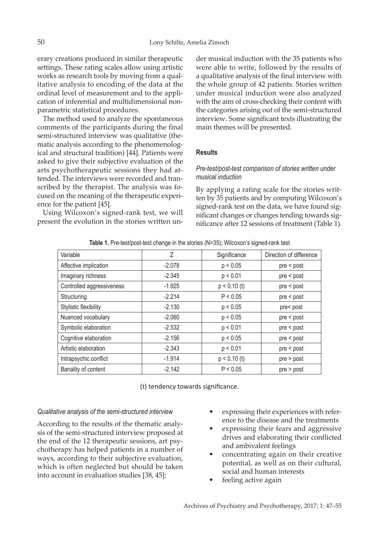erary creations produced in similar therapeutic settings. These rating scales allow using artistic works as research tools by moving from a qualitative analysis to encoding of the data at the ordinal level of measurement and to the application of inferential and multidimensional nonparametric statistical procedures.

The method used to analyze the spontaneous comments of the participants during the final semi-structured interview was qualitative (thematic analysis according to the phenomenological and structural tradition) [44]. Patients were asked to give their subjective evaluation of the arts psychotherapeutic sessions they had attended. The interviews were recorded and transcribed by the therapist. The analysis was focused on the meaning of the therapeutic experience for the patient [45].

Using Wilcoxon's signed-rank test, we will present the evolution in the stories written under musical induction with the 35 patients who were able to write, followed by the results of a qualitative analysis of the final interview with the whole group of 42 patients. Stories written under musical induction were also analyzed with the aim of cross-checking their content with the categories arising out of the semi-structured interview. Some significant texts illustrating the main themes will be presented.

# **Results**

## *Pre-test/post-test comparison of stories written under musical induction*

By applying a rating scale for the stories written by 35 patients and by computing Wilcoxon's signed-rank test on the data, we have found significant changes or changes tending towards significance after 12 sessions of treatment (Table 1).

|  |  |  |  | Table 1. Pre-test/post-test change in the stories (N=35); Wilcoxon's signed-rank test |  |
|--|--|--|--|---------------------------------------------------------------------------------------|--|
|--|--|--|--|---------------------------------------------------------------------------------------|--|

| Variable                  | Ζ        | Significance   | Direction of difference |
|---------------------------|----------|----------------|-------------------------|
| Affective implication     | $-2.078$ | p < 0.05       | pre < post              |
| Imaginary richness        | $-2.345$ | p < 0.01       | pre < post              |
| Controlled aggressiveness | $-1.925$ | $p < 0.10$ (t) | pre < post              |
| Structuring               | $-2.214$ | P < 0.05       | pre < post              |
| Stylistic flexibility     | $-2.130$ | p < 0.05       | pre< post               |
| Nuanced vocabulary        | $-2.060$ | p < 0.05       | pre < post              |
| Symbolic elaboration      | $-2.532$ | p < 0.01       | pre < post              |
| Cognitive elaboration     | $-2.156$ | p < 0.05       | pre < post              |
| Artistic elaboration      | $-2.343$ | p < 0.01       | pre < post              |
| Intrapsychic conflict     | $-1.914$ | $p < 0.10$ (t) | $pre$ > post            |
| Banality of content       | $-2.142$ | P < 0.05       | pre > post              |

(t) tendency towards significance.

## *Qualitative analysis of the semi-structured interview*

According to the results of the thematic analysis of the semi-structured interview proposed at the end of the 12 therapeutic sessions, art psychotherapy has helped patients in a number of ways, according to their subjective evaluation, which is often neglected but should be taken into account in evaluation studies [38, 45]:

- expressing their experiences with reference to the disease and the treatments
- expressing their fears and aggressive drives and elaborating their conflicted and ambivalent feelings
- concentrating again on their creative potential, as well as on their cultural, social and human interests
- feeling active again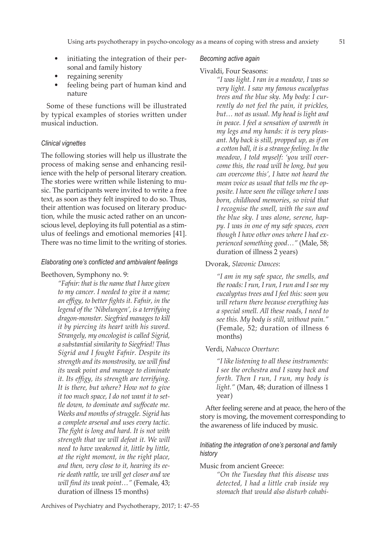- initiating the integration of their personal and family history
- regaining serenity
- feeling being part of human kind and nature

Some of these functions will be illustrated by typical examples of stories written under musical induction.

#### *Clinical vignettes*

The following stories will help us illustrate the process of making sense and enhancing resilience with the help of personal literary creation. The stories were written while listening to music. The participants were invited to write a free text, as soon as they felt inspired to do so. Thus, their attention was focused on literary production, while the music acted rather on an unconscious level, deploying its full potential as a stimulus of feelings and emotional memories [41]. There was no time limit to the writing of stories.

#### *Elaborating one's conflicted and ambivalent feelings*

Beethoven, Symphony no. 9:

*"Fafnir: that is the name that I have given to my cancer. I needed to give it a name; an effigy, to better fights it. Fafnir, in the legend of the 'Nibelungen', is a terrifying dragon-monster. Siegfried manages to kill it by piercing its heart with his sword. Strangely, my oncologist is called Sigrid, a substantial similarity to Siegfried! Thus Sigrid and I fought Fafnir. Despite its strength and its monstrosity, we will find its weak point and manage to eliminate it. Its effigy, its strength are terrifying. It is there, but where? How not to give it too much space, I do not want it to settle down, to dominate and suffocate me. Weeks and months of struggle. Sigrid has a complete arsenal and uses every tactic. The fight is long and hard. It is not with strength that we will defeat it. We will need to have weakened it, little by little, at the right moment, in the right place, and then, very close to it, hearing its eerie death rattle, we will get closer and we will find its weak point…"* (Female, 43; duration of illness 15 months)

#### *Becoming active again*

#### Vivaldi, Four Seasons:

*"I was light. I ran in a meadow, I was so very light. I saw my famous eucalyptus trees and the blue sky. My body: I currently do not feel the pain, it prickles, but… not as usual. My head is light and in peace. I feel a sensation of warmth in my legs and my hands: it is very pleasant. My back is still, propped up, as if on a cotton ball, it is a strange feeling. In the meadow, I told myself: 'you will overcome this, the road will be long, but you can overcome this', I have not heard the mean voice as usual that tells me the opposite. I have seen the village where I was born, childhood memories, so vivid that I recognise the smell, with the sun and the blue sky. I was alone, serene, happy. I was in one of my safe spaces, even though I have other ones where I had experienced something good…"* (Male, 58; duration of illness 2 years)

Dvorak, *Slavonic Dances*:

*"I am in my safe space, the smells, and the roads: I run, I run, I run and I see my eucalyptus trees and I feel this: soon you will return there because everything has a special smell. All these roads, I need to see this. My body is still, without pain."* (Female, 52; duration of illness 6 months)

Verdi, *Nabucco Overture*:

*"I like listening to all these instruments: I see the orchestra and I sway back and forth. Then I run, I run, my body is light."* (Man, 48; duration of illness 1 year)

After feeling serene and at peace, the hero of the story is moving, the movement corresponding to the awareness of life induced by music.

*Initiating the integration of one's personal and family history*

Music from ancient Greece:

*"On the Tuesday that this disease was detected, I had a little crab inside my stomach that would also disturb cohabi-*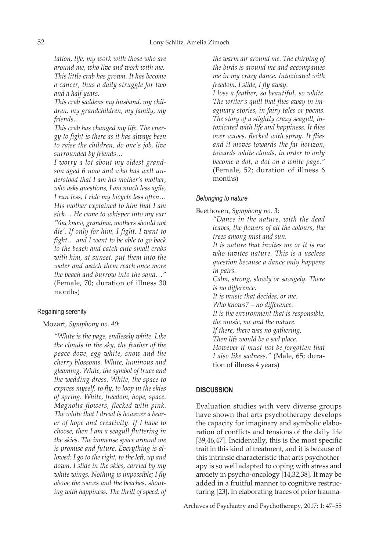*tation, life, my work with those who are around me, who live and work with me. This little crab has grown. It has become a cancer, thus a daily struggle for two and a half years.*

*This crab saddens my husband, my children, my grandchildren, my family, my friends…*

*This crab has changed my life. The energy to fight is there as it has always been to raise the children, do one's job, live surrounded by friends…*

*I worry a lot about my oldest grandson aged 6 now and who has well understood that I am his mother's mother, who asks questions, I am much less agile, I run less, I ride my bicycle less often… His mother explained to him that I am sick… He came to whisper into my ear: 'You know, grandma, mothers should not die'. If only for him, I fight, I want to fight… and I want to be able to go back to the beach and catch cute small crabs with him, at sunset, put them into the water and watch them reach once more the beach and burrow into the sand…"*  (Female, 70; duration of illness 30 months)

## Regaining serenity

## Mozart, *Symphony no. 40*:

*"White is the page, endlessly white. Like the clouds in the sky, the feather of the peace dove, egg white, snow and the cherry blossoms. White, luminous and gleaming. White, the symbol of truce and the wedding dress. White, the space to express myself, to fly, to loop in the skies of spring. White, freedom, hope, space. Magnolia flowers, flecked with pink. The white that I dread is however a bearer of hope and creativity. If I have to choose, then I am a seagull fluttering in the skies. The immense space around me is promise and future. Everything is allowed: I go to the right, to the left, up and down. I slide in the skies, carried by my white wings. Nothing is impossible; I fly above the waves and the beaches, shouting with happiness. The thrill of speed, of* 

*the warm air around me. The chirping of the birds is around me and accompanies me in my crazy dance. Intoxicated with freedom, I slide, I fly away.*

*I lose a feather, so beautiful, so white. The writer's quill that flies away in imaginary stories, in fairy tales or poems. The story of a slightly crazy seagull, intoxicated with life and happiness. It flies over waves, flecked with spray. It flies and it moves towards the far horizon, towards white clouds, in order to only become a dot, a dot on a white page."* (Female, 52; duration of illness 6 months)

## *Belonging to nature*

Beethoven, *Symphony no. 3*:

*"Dance in the nature, with the dead leaves, the flowers of all the colours, the trees among mist and sun.*

*It is nature that invites me or it is me who invites nature. This is a useless question because a dance only happens in pairs.*

*Calm, strong, slowly or savagely. There is no difference.*

*It is music that decides, or me.*

*Who knows? – no difference.*

*It is the environment that is responsible,* 

*the music, me and the nature.*

*If there, there was no gathering,*

*Then life would be a sad place.*

*However it must not be forgotten that I also like sadness."* (Male, 65; duration of illness 4 years)

## **DISCUSSION**

Evaluation studies with very diverse groups have shown that arts psychotherapy develops the capacity for imaginary and symbolic elaboration of conflicts and tensions of the daily life [39,46,47]. Incidentally, this is the most specific trait in this kind of treatment, and it is because of this intrinsic characteristic that arts psychotherapy is so well adapted to coping with stress and anxiety in psycho-oncology [14,32,38]. It may be added in a fruitful manner to cognitive restructuring [23]. In elaborating traces of prior trauma-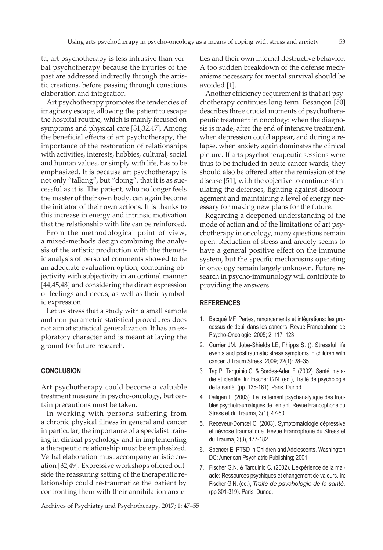ta, art psychotherapy is less intrusive than verbal psychotherapy because the injuries of the past are addressed indirectly through the artistic creations, before passing through conscious elaboration and integration.

Art psychotherapy promotes the tendencies of imaginary escape, allowing the patient to escape the hospital routine, which is mainly focused on symptoms and physical care [31,32,47]. Among the beneficial effects of art psychotherapy, the importance of the restoration of relationships with activities, interests, hobbies, cultural, social and human values, or simply with life, has to be emphasized. It is because art psychotherapy is not only "talking", but "doing", that it is as successful as it is. The patient, who no longer feels the master of their own body, can again become the initiator of their own actions. It is thanks to this increase in energy and intrinsic motivation that the relationship with life can be reinforced.

From the methodological point of view, a mixed-methods design combining the analysis of the artistic production with the thematic analysis of personal comments showed to be an adequate evaluation option, combining objectivity with subjectivity in an optimal manner [44,45,48] and considering the direct expression of feelings and needs, as well as their symbolic expression.

Let us stress that a study with a small sample and non-parametric statistical procedures does not aim at statistical generalization. It has an exploratory character and is meant at laying the ground for future research.

## **CONCLUSION**

Art psychotherapy could become a valuable treatment measure in psycho-oncology, but certain precautions must be taken.

In working with persons suffering from a chronic physical illness in general and cancer in particular, the importance of a specialist training in clinical psychology and in implementing a therapeutic relationship must be emphasized. Verbal elaboration must accompany artistic creation [32,49]. Expressive workshops offered outside the reassuring setting of the therapeutic relationship could re-traumatize the patient by confronting them with their annihilation anxieties and their own internal destructive behavior. A too sudden breakdown of the defense mechanisms necessary for mental survival should be avoided [1].

Another efficiency requirement is that art psychotherapy continues long term. Besançon [50] describes three crucial moments of psychotherapeutic treatment in oncology: when the diagnosis is made, after the end of intensive treatment, when depression could appear, and during a relapse, when anxiety again dominates the clinical picture. If arts psychotherapeutic sessions were thus to be included in acute cancer wards, they should also be offered after the remission of the disease [51], with the objective to continue stimulating the defenses, fighting against discouragement and maintaining a level of energy necessary for making new plans for the future.

Regarding a deepened understanding of the mode of action and of the limitations of art psychotherapy in oncology, many questions remain open. Reduction of stress and anxiety seems to have a general positive effect on the immune system, but the specific mechanisms operating in oncology remain largely unknown. Future research in psycho-immunology will contribute to providing the answers.

#### **REFERENCES**

- 1. Bacqué MF. Pertes, renoncements et intégrations: les processus de deuil dans les cancers. Revue Francophone de Psycho-Oncologie. 2005; 2: 117–123.
- 2. Currier JM. Jobe-Shields LE, Phipps S. (). Stressful life events and posttraumatic stress symptoms in children with cancer. J Traum Stress. 2009; 22(1): 28–35.
- 3. Tap P., Tarquinio C. & Sordes-Aden F. (2002). Santé, maladie et identité. In: Fischer G.N. (ed.), Traité de psychologie de la santé. (pp. 135-161). Paris, Dunod.
- 4. Daligan L. (2003). Le traitement psychanalytique des troubles psychotraumatiques de l'enfant. Revue Francophone du Stress et du Trauma, 3(1), 47-50.
- 5. Receveur-Domcel C. (2003). Symptomatologie dépressive et névrose traumatique. Revue Francophone du Stress et du Trauma, 3(3), 177-182.
- 6. Spencer E. PTSD in Children and Adolescents. Washington DC: American Psychiatric Publishing; 2001.
- 7. Fischer G.N. & Tarquinio C. (2002). L'expérience de la maladie: Ressources psychiques et changement de valeurs. In: Fischer G.N. (ed.), *Traité de psychologie de la santé.* (pp 301-319). Paris, Dunod.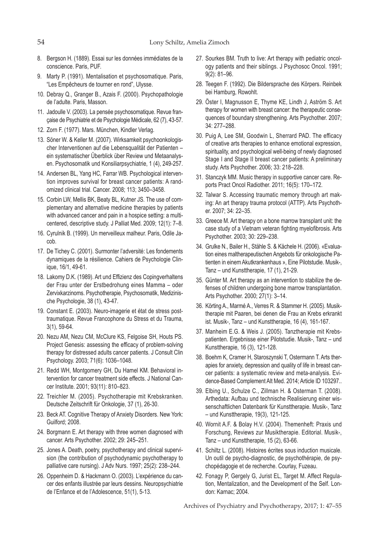- 8. Bergson H. (1889). Essai sur les données immédiates de la conscience. Paris, PUF.
- 9. Marty P. (1991). Mentalisation et psychosomatique. Paris, "Les Empêcheurs de tourner en rond", Ulysse.
- 10. Debray Q., Granger B., Azais F. (2000). Psychopathologie de l'adulte. Paris, Masson.
- 11. Jadoulle V. (2003). La pensée psychosomatique. Revue française de Psychiatrie et de Psychologie Médicale, 62 (7), 43-57.
- 12. Zorn F. (1977). Mars. München, Kindler Verlag.
- 13. Söner W. & Keller M. (2007). Wirksamkeit psychoonkologischer Interventionen auf die Lebensqualität der Patienten – ein systematischer Überblick über Review und Metaanalysen. Psychosomatik und Konsiliarpsychiatrie, 1 (4), 249-257.
- 14. Andersen BL, Yang HC, Farrar WB. Psychological intervention improves survival for breast cancer patients: A randomized clinical trial. Cancer. 2008; 113; 3450–3458.
- 15. Corbin LW, Mellis BK, Beaty BL, Kutner JS. The use of complementary and alternative medicine therapies by patients with advanced cancer and pain in a hospice setting: a multicentered, descriptive study. J Palliat Med. 2009; 12(1): 7–8.
- 16. Cyrulnik B. (1999). Un merveilleux malheur. Paris, Odile Jacob.
- 17. De Tichey C. (2001). Surmonter l'adversité: Les fondements dynamiques de la résilience. Cahiers de Psychologie Clinique, 16/1, 49-61.
- 18. Lakomy D.K. (1989). Art und Effizienz des Copingverhaltens der Frau unter der Erstbedrohung eines Mamma – oder Zervixkarzinoms. Psychotherapie, Psychosomatik, Medizinische Psychologie, 38 (1), 43-47.
- 19. Constant E. (2003). Neuro-imagerie et état de stress posttraumatique. Revue Francophone du Stress et du Trauma, 3(1), 59-64.
- 20. Nezu AM, Nezu CM, McClure KS, Felgoise SH, Houts PS. Project Genesis: assessing the efficacy of problem-solving therapy for distressed adults cancer patients. J Consult Clin Psychology. 2003; 71(6): 1036–1048.
- 21. Redd WH, Montgomery GH, Du Hamel KM. Behavioral intervention for cancer treatment side effects. J National Cancer Institute. 2001; 93(11): 810–823.
- 22. Treichler M. (2005). Psychotherapie mit Krebskranken. Deutsche Zeitschrift für Onkologie, 37 (1), 26-30.
- 23. Beck AT. Cognitive Therapy of Anxiety Disorders. New York: Guilford; 2008.
- 24. Borgmann E. Art therapy with three women diagnosed with cancer. Arts Psychother. 2002; 29: 245–251.
- 25. Jones A. Death, poetry, psychotherapy and clinical supervision (the contribution of psychodynamic psychotherapy to palliative care nursing). J Adv Nurs. 1997; 25(2): 238–244.
- 26. Oppenheim D. & Hackmann O. (2003). L'expérience du cancer des enfants illustrée par leurs dessins. Neuropsychiatrie de l'Enfance et de l'Adolescence, 51(1), 5-13.
- 27. Sourkes BM. Truth to live: Art therapy with pediatric oncology patients and their siblings. J Psychosoc Oncol. 1991; 9(2): 81–96.
- 28. Teegen F. (1992). Die Bildersprache des Körpers. Reinbek bei Hamburg, Rowohlt.
- 29. Öster I, Magnusson E, Thyme KE, Lindh J, Aström S. Art therapy for women with breast cancer: the therapeutic consequences of boundary strengthening. Arts Psychother. 2007; 34: 277–288.
- 30. Puig A, Lee SM, Goodwin L, Sherrard PAD. The efficacy of creative arts therapies to enhance emotional expression, spirituality, and psychological well-being of newly diagnosed Stage I and Stage II breast cancer patients: A preliminary study. Arts Psychother. 2006; 33: 218–228.
- 31. Stanczyk MM. Music therapy in supportive cancer care. Reports Pract Oncol Radiother. 2011; 16(5): 170–172.
- 32. Talwar S. Accessing traumatic memory through art making: An art therapy trauma protocol (ATTP). Arts Psychother. 2007; 34: 22–35.
- 33. Greece M. Art therapy on a bone marrow transplant unit: the case study of a Vietnam veteran fighting myelofibrosis. Arts Psychother. 2003; 30: 229–238.
- 34. Grulke N., Bailer H., Stähle S. & Kächele H. (2006). «Evaluation eines maltherapeutischen Angebots für onkologische Patienten in einem Akutkrankenhaus », Eine Pilotstudie. Musik-, Tanz – und Kunsttherapie, 17 (1), 21-29.
- 35. Günter M. Art therapy as an intervention to stabilize the defenses of children undergoing bone marrow transplantation. Arts Psychother. 2000; 27(1): 3–14.
- 36. Körting A., Marmé A., Verres R. & Stammer H. (2005). Musiktherapie mit Paaren, bei denen die Frau an Krebs erkrankt ist. Musik-, Tanz – und Kunsttherapie, 16 (4), 161-167.
- 37. Manheim E.G. & Weis J. (2005). Tanztherapie mit Krebspatienten. Ergebnisse einer Pilotstudie. Musik-, Tanz – und Kunsttherapie, 16 (3), 121-128.
- 38. Boehm K, Cramer H, Staroszynski T, Ostermann T. Arts therapies for anxiety, depression and quality of life in breast cancer patients: a systematic review and meta-analysis. Evidence-Based Complement Alt Med. 2014; Article ID 103297..
- 39. Elbing U., Schulze C., Zillman H. & Osterman T. (2008). Arthedata: Aufbau und technische Realisierung einer wissenschaftlichen Datenbank für Kunsttherapie. Musik-, Tanz – und Kunsttherapie, 19(3), 121-125.
- 40. Wornit A.F. & Bolay H.V. (2004). Themenheft: Praxis und Forschung, Reviews zur Musiktherapie. Editorial. Musik-, Tanz – und Kunsttherapie, 15 (2), 63-66.
- 41. Schiltz L. (2008). Histoires écrites sous induction musicale. Un outil de psycho-diagnostic, de psychothérapie, de psychopédagogie et de recherche. Courlay, Fuzeau.
- 42. Fonagy P, Gergely G, Jurist EL, Target M. Affect Regulation, Mentalization, and the Development of the Self. London: Karnac; 2004.